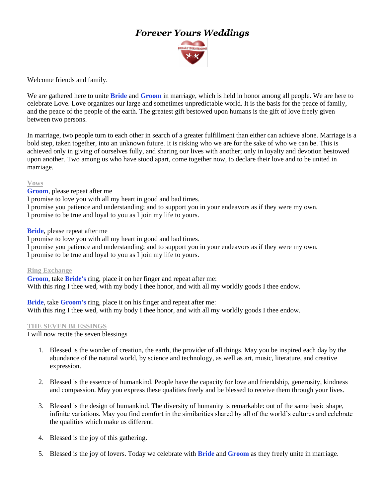# *Forever Yours Weddings*



Welcome friends and family.

We are gathered here to unite **Bride** and **Groom** in marriage, which is held in honor among all people. We are here to celebrate Love. Love organizes our large and sometimes unpredictable world. It is the basis for the peace of family, and the peace of the people of the earth. The greatest gift bestowed upon humans is the gift of love freely given between two persons.

In marriage, two people turn to each other in search of a greater fulfillment than either can achieve alone. Marriage is a bold step, taken together, into an unknown future. It is risking who we are for the sake of who we can be. This is achieved only in giving of ourselves fully, and sharing our lives with another; only in loyalty and devotion bestowed upon another. Two among us who have stood apart, come together now, to declare their love and to be united in marriage.

### **Vows**

**Groom**, please repeat after me

I promise to love you with all my heart in good and bad times.

I promise you patience and understanding; and to support you in your endeavors as if they were my own.

I promise to be true and loyal to you as I join my life to yours.

**Bride**, please repeat after me

I promise to love you with all my heart in good and bad times.

I promise you patience and understanding; and to support you in your endeavors as if they were my own. I promise to be true and loyal to you as I join my life to yours.

**Ring Exchange**

**Groom**, take **Bride's** ring, place it on her finger and repeat after me: With this ring I thee wed, with my body I thee honor, and with all my worldly goods I thee endow.

**Bride**, take **Groom's** ring, place it on his finger and repeat after me: With this ring I thee wed, with my body I thee honor, and with all my worldly goods I thee endow.

#### **THE SEVEN BLESSINGS**

I will now recite the seven blessings

- 1. Blessed is the wonder of creation, the earth, the provider of all things. May you be inspired each day by the abundance of the natural world, by science and technology, as well as art, music, literature, and creative expression.
- 2. Blessed is the essence of humankind. People have the capacity for love and friendship, generosity, kindness and compassion. May you express these qualities freely and be blessed to receive them through your lives.
- 3. Blessed is the design of humankind. The diversity of humanity is remarkable: out of the same basic shape, infinite variations. May you find comfort in the similarities shared by all of the world's cultures and celebrate the qualities which make us different.
- 4. Blessed is the joy of this gathering.
- 5. Blessed is the joy of lovers. Today we celebrate with **Bride** and **Groom** as they freely unite in marriage.